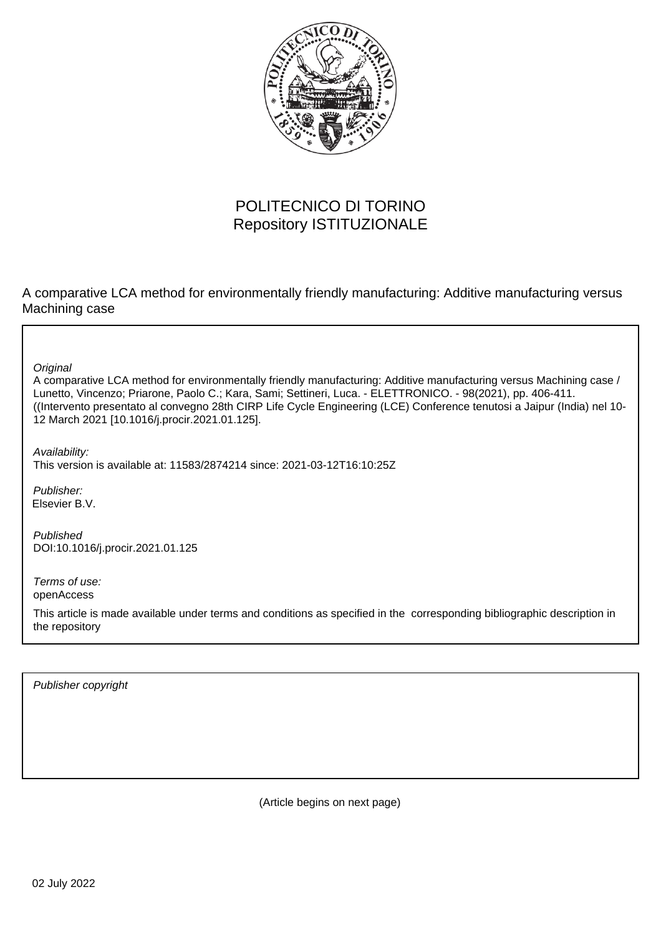

# POLITECNICO DI TORINO Repository ISTITUZIONALE

A comparative LCA method for environmentally friendly manufacturing: Additive manufacturing versus Machining case

**Original** 

A comparative LCA method for environmentally friendly manufacturing: Additive manufacturing versus Machining case / Lunetto, Vincenzo; Priarone, Paolo C.; Kara, Sami; Settineri, Luca. - ELETTRONICO. - 98(2021), pp. 406-411. ((Intervento presentato al convegno 28th CIRP Life Cycle Engineering (LCE) Conference tenutosi a Jaipur (India) nel 10- 12 March 2021 [10.1016/j.procir.2021.01.125].

Availability: This version is available at: 11583/2874214 since: 2021-03-12T16:10:25Z

Publisher: Elsevier B.V.

Published DOI:10.1016/j.procir.2021.01.125

Terms of use: openAccess

This article is made available under terms and conditions as specified in the corresponding bibliographic description in the repository

Publisher copyright

(Article begins on next page)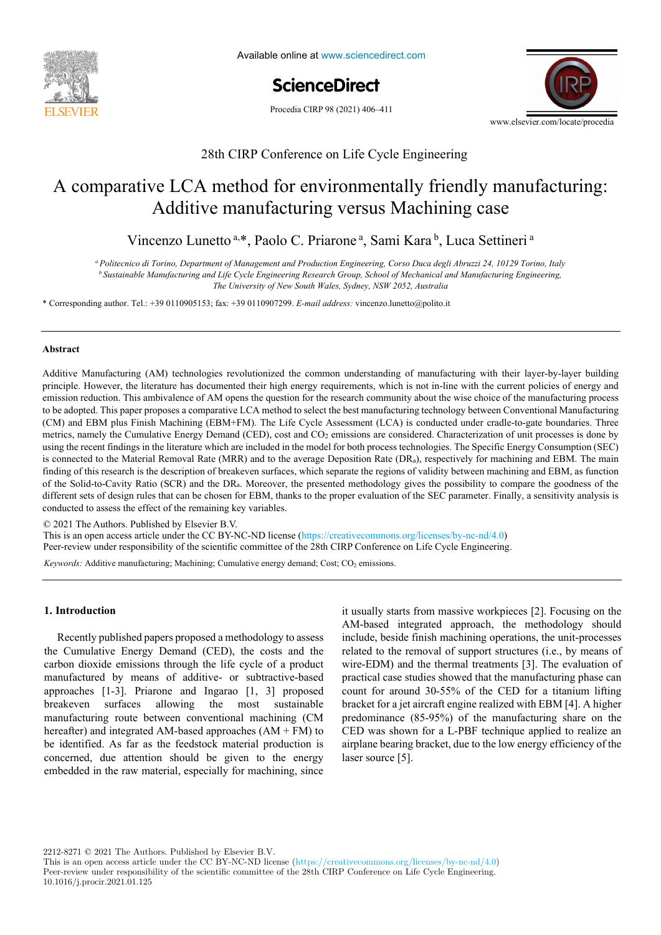

Available online at www.sciencedirect.com

**ScienceDirect** ScienceDirect

Procedia CIRP 98 (2021) 406-411



28th CIRP Conference on Life Cycle Engineering

## A comparative LCA method for environmentally friendly manufacturing: A neutrice manalusturing verbus Maemming cube  $\mathcal{L}$  comparative LCA method for environmental manufacturing:  $\mathcal{L}$  manufacturing:  $\mathcal{L}$ Additive manufacturing versus Machining case

Vincenzo Lunetto a.\*, Paolo C. Priarone a, Sami Kara b, Luca Settineri a

<sup>b</sup> Sustainable Manufacturing and Life Cycle Engineering Research Group, School of Mechanical and Manufacturing Engineering, *<sup>b</sup> Sustainable Manufacturing and Life Cycle Engineering Research Group, School of Mechanical and Manufacturing Engineering, The University of New South Wales, Sydney, NSW 2052, Australia <sup>a</sup> Politecnico di Torino, Department of Management and Production Engineering, Corso Duca degli Abruzzi 24, 10129 Torino, Italy The University of New South Wales, Sydney, NSW 2052, Australia* 

\* Corresponding author. Tel.: +39 0110905153; fax: +39 0110907299. E-mail address: vincenzo.lunetto@polito.it

\* Corresponding author. Tel.: +33 3 87 37 54 30; *E-mail address:* paul.stief@ensam.eu

## **Abstract**  $A$  technologies revolutionized the common understanding of manufacturing  $\mathcal{A}$ **Abstract**

Additive Manufacturing (AM) technologies revolutionized the common understanding of manufacturing with their layer-by-layer building emission reduction. This ambivalence of AM opens the question for the research community about the wise choice of the manufacturing process to be adopted. This paper proposes a comparative LCA method to select the best manufacturing technology between Conventional Manufacturing (CM) and EBM plus Finish Machining (EBM+FM). The Life Cycle Assessment (LCA) is conducted under cradle-to-gate boundaries. Three metrics, namely the Cumulative Energy Demand (CED), cost and CO<sub>2</sub> emissions are considered. Characterization of unit processes is done by metrics, namely the Cumulative Energy Demand (CED), cost and CO<sub>2</sub> emissions are considered. Characterization of unit processes is done by using the recent findings in the literature which are included in the model for bot is connected to the Material Removal Rate (MRR) and to the average Deposition Rate (DR<sub>a</sub>), respectively for machining and EBM. The main finding of this research is the description of breakeven surfaces, which separate the regions of validity between machining and EBM, as function finding of this research is the description of breakeven surfaces, which sepa of the Solid-to-Cavity Ratio (SCR) and the DR<sub>a</sub>. Moreover, the presented methodology gives the possibility to compare the goodness of the different sets of design rules that can be chosen for EBM, thanks to the proper evaluation of the SEC parameter. Finally, a sensitivity analysis is conducted to assess the effect of the remaining key variables. principle. However, the literature has documented their high energy requirements, which is not in-line with the current policies of energy and principle. However, the literature has documented their high energy requirement

© 2021 The Authors. Published by Elsevier B.V.

*Keywords:* Assembly; Design method; Family identification

C 2021 The Authors. Published by Elsevier B.V.<br>This is an open access article under the CC BY-NC-ND license (https://creativecommons.org/licenses/by-nc-nd/4.0) Peer-review under responsibility of the scientific committee of the 28th CIRP Conference on Life Cycle Engineering. This is an open access article under the CC BY-NC-ND license (https://creativecommons.org/licenses/by-nc-nd/4.0)

Keywords: Additive manufacturing; Machining; Cumulative energy demand; Cost; CO<sub>2</sub> emissions. *Keywords:* Additive manufacturing; Machining; Cumulative energy demand; Cost; CO2 emissions.

### **1. Introduction**

Recently published papers proposed a methodology to assess the Cumulative Energy Demand (CED), the costs and the domain of the domain of the domain of the domain of the domain of the domain of the domain of the domain of the domain of the domain of the domain of the domain of the carbon dioxide emissions unough the fire cycle of a product manufactured by means of additive- or subtractive-based  $\frac{1}{2}$ approaches [1-3]. Priarone and Ingarao [1, 3] proposed or tendency to produce the product of production of production of product development times and the contract of product development of product development of production of the contract of production of the contract of the breakeven surraces anowing the most sustainable<br>manufacturing route between conventional machining (CM hereafter) and integrated AM-based approaches  $(AM + FM)$  to be identified. As far as the feedstock material production is  $\frac{1}{\sqrt{2}}$  $\frac{1}{1}$  is in the determinant should be given to me energy embedded in the raw material, especially for machining, since carbon dioxide emissions through the life cycle of a product breakeven surfaces allowing the most sustainable concerned, due attention should be given to the energy  $\frac{1}{2}$  manufacturing route between conventional machining (CM

AM-based integrated approach, the methodology should  $\overline{a}$ . include, beside finish machining operations, the unit-processes related to the removal of support structures (i.e., by means of  $\overline{C}$ ) wire-EDM) and the thermal treatments [3]. The evaluation of practical case studies showed that the manufacturing phase can  $\frac{1}{2}$ . The evaluation of the the the the the the the the count for around  $30-55%$  of the CED for a titanium lifting  $\frac{1}{2}$ bracket for a jet aircraft engine realized with EBM [4]. A higher  $(6.5 \times 65)$ predominance  $(85-95%)$  of the manufacturing share on the  $\overline{CD}$ CED was shown for a L-PBF technique applied to realize an  $\sim$ airplane bearing bracket, due to the low energy efficiency of the  $laser source [5].$ it usually starts from massive workpieces [2]. Focusing on the

2212-8271 © 2021 The Authors. Published by Elsevier B.V.

This is an open access article under the CC BY-NC-ND license (https://creativecommons.org/licenses/by-nc-nd/4.0) Peer-review under responsibility of the scientific committee of the 28th CIRP Conference on Life Cycle Engineering. 10.1016/j.procir.2021.01.125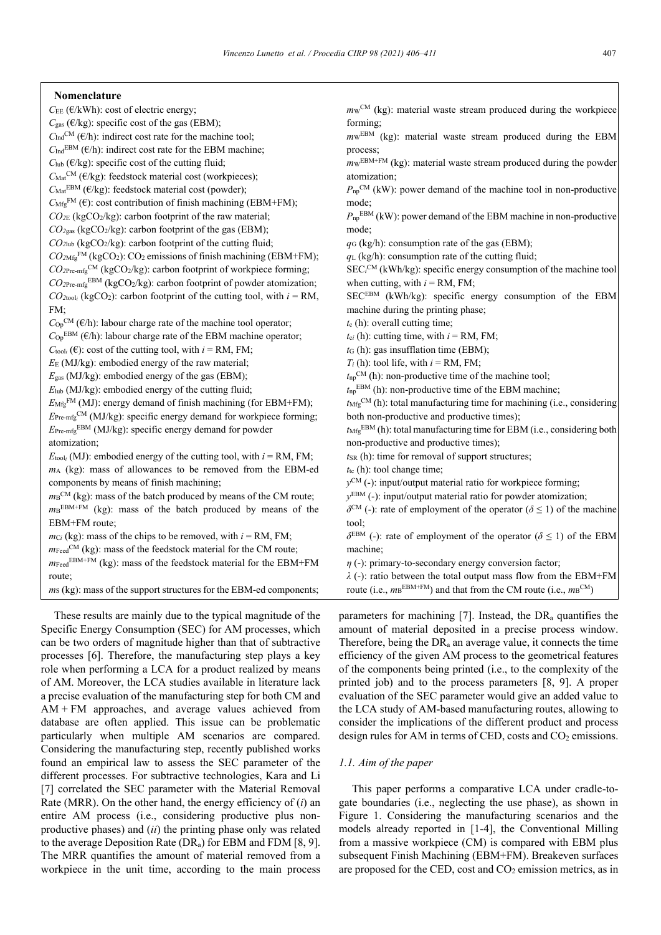| Nomenclature |  |
|--------------|--|
|--------------|--|

 $C_{EE}$  ( $E/kWh$ ): cost of electric energy;  $C_{\text{gas}}$  ( $\epsilon$ /kg): specific cost of the gas (EBM);  $C_{\text{Ind}}^{\text{CM}}$  ( $\epsilon$ /h): indirect cost rate for the machine tool;  $C_{\text{Ind}}^{\text{EBM}}$  ( $\epsilon$ h): indirect cost rate for the EBM machine;  $C_{\text{lab}}$  ( $\epsilon$ /kg): specific cost of the cutting fluid;  $C_{\text{Mat}}^{\text{CM}}$  ( $\epsilon$ /kg): feedstock material cost (workpieces);  $C_{\text{Mat}}^{\text{EBM}}$  ( $\epsilon/kg$ ): feedstock material cost (powder);  $C_{Mfg}^{FM}$  ( $\epsilon$ ): cost contribution of finish machining (EBM+FM); *CO2*<sup>E</sup> (kgCO2/kg): carbon footprint of the raw material; *CO2*gas (kgCO2/kg): carbon footprint of the gas (EBM);  $CO<sub>2</sub>$ lub (kgCO<sub>2</sub>/kg): carbon footprint of the cutting fluid;  $CO<sub>2Mfg</sub><sup>FM</sup>$  (kgCO<sub>2</sub>): CO<sub>2</sub> emissions of finish machining (EBM+FM);  $CO_{2\text{Pre-mfg}}^{\text{CM}}$  (kgCO<sub>2</sub>/kg): carbon footprint of workpiece forming; *CO2*Pre-mfgEBM (kgCO2/kg): carbon footprint of powder atomization;  $CO_{2}$ <sub>tool<sub>*i*</sub> (kgCO<sub>2</sub>): carbon footprint of the cutting tool, with  $i = RM$ ,</sub> FM;  $C_{\text{Op}}^{\text{CM}}$  ( $\epsilon$ /h): labour charge rate of the machine tool operator;  $C_{\text{Op}}^{\text{EBM}}$  ( $\in$ /h): labour charge rate of the EBM machine operator;  $C_{\text{tooli}}(\epsilon)$ : cost of the cutting tool, with  $i = RM$ , FM; *E*<sup>E</sup> (MJ/kg): embodied energy of the raw material; *E*gas (MJ/kg): embodied energy of the gas (EBM); *E*lub (MJ/kg): embodied energy of the cutting fluid;  $E_{Mfg}^{FM}$  (MJ): energy demand of finish machining (for EBM+FM);  $E_{\text{Pre-mfg}}^{\text{CM}}$  (MJ/kg): specific energy demand for workpiece forming; *E*Pre-mfgEBM (MJ/kg): specific energy demand for powder atomization;  $E_{\text{tool}_i}$  (MJ): embodied energy of the cutting tool, with  $i = \text{RM}$ , FM; *m*<sup>A</sup> (kg): mass of allowances to be removed from the EBM-ed components by means of finish machining;  $mB<sup>CM</sup>$  (kg): mass of the batch produced by means of the CM route;  $m_B$ <sup>EBM+FM</sup> (kg): mass of the batch produced by means of the EBM+FM route;  $mc_i$  (kg): mass of the chips to be removed, with  $i = RM$ , FM;  $m_{\text{feed}}^{\text{CM}}$  (kg): mass of the feedstock material for the CM route;  $m_{\text{Head}}$ <sup>EBM+FM</sup> (kg): mass of the feedstock material for the EBM+FM route; *ms* (kg): mass of the support structures for the EBM-ed components; forming; process; mode; mode; tool; machine;

These results are mainly due to the typical magnitude of the Specific Energy Consumption (SEC) for AM processes, which can be two orders of magnitude higher than that of subtractive processes [6]. Therefore, the manufacturing step plays a key role when performing a LCA for a product realized by means of AM. Moreover, the LCA studies available in literature lack a precise evaluation of the manufacturing step for both CM and  $AM + FM$  approaches, and average values achieved from database are often applied. This issue can be problematic particularly when multiple AM scenarios are compared. Considering the manufacturing step, recently published works found an empirical law to assess the SEC parameter of the different processes. For subtractive technologies, Kara and Li [7] correlated the SEC parameter with the Material Removal Rate (MRR). On the other hand, the energy efficiency of (*i*) an entire AM process (i.e., considering productive plus nonproductive phases) and (*ii*) the printing phase only was related to the average Deposition Rate (DRa) for EBM and FDM [8, 9]. The MRR quantifies the amount of material removed from a workpiece in the unit time, according to the main process

 $m_{\rm W}^{\rm CM}$  (kg): material waste stream produced during the workpiece

 $m_{\text{W}}$ <sup>EBM</sup> (kg): material waste stream produced during the EBM

*m*WEBM+FM (kg): material waste stream produced during the powder atomization;

 $P_{\text{np}}^{\text{CM}}$  (kW): power demand of the machine tool in non-productive

*P*npEBM (kW): power demand of the EBM machine in non-productive

*q*<sup>G</sup> (kg/h): consumption rate of the gas (EBM);

*q*<sup>L</sup> (kg/h): consumption rate of the cutting fluid;

SEC<sup>*CM*</sup> (kWh/kg): specific energy consumption of the machine tool when cutting, with  $i = RM$ , FM;

SECEBM (kWh/kg): specific energy consumption of the EBM machine during the printing phase;

*t*<sup>c</sup> (h): overall cutting time;

 $t_{ci}$  (h): cutting time, with  $i = RM$ , FM;

*t*<sup>G</sup> (h): gas insufflation time (EBM);

 $T_i$  (h): tool life, with  $i = RM$ , FM;

 $t_{np}$ <sup>CM</sup> (h): non-productive time of the machine tool;

 $t_{\text{np}}^{\text{EBM}}$  (h): non-productive time of the EBM machine;

*t*MfgCM (h): total manufacturing time for machining (i.e., considering both non-productive and productive times);

*t*MfgEBM (h): total manufacturing time for EBM (i.e., considering both non-productive and productive times);

*t*<sub>SR</sub> (h): time for removal of support structures;

 $t_{\text{tc}}$  (h): tool change time;

*y*<sup>CM</sup> (-): input/output material ratio for workpiece forming;

*y*EBM (-): input/output material ratio for powder atomization;

 $\delta^{CM}$  (-): rate of employment of the operator ( $\delta \leq 1$ ) of the machine

*δ*<sup>EBM</sup> (-): rate of employment of the operator ( $\delta \leq 1$ ) of the EBM

*η* (-): primary-to-secondary energy conversion factor;

*λ* (-): ratio between the total output mass flow from the EBM+FM

route (i.e.,  $m\text{B}^{\text{EBM+FM}}$ ) and that from the CM route (i.e.,  $m\text{B}^{\text{CM}}$ )

parameters for machining [7]. Instead, the  $DR<sub>a</sub>$  quantifies the amount of material deposited in a precise process window. Therefore, being the  $DR<sub>a</sub>$  an average value, it connects the time efficiency of the given AM process to the geometrical features of the components being printed (i.e., to the complexity of the printed job) and to the process parameters [8, 9]. A proper evaluation of the SEC parameter would give an added value to the LCA study of AM-based manufacturing routes, allowing to consider the implications of the different product and process design rules for AM in terms of CED, costs and  $CO<sub>2</sub>$  emissions.

## *1.1. Aim of the paper*

This paper performs a comparative LCA under cradle-togate boundaries (i.e., neglecting the use phase), as shown in Figure 1. Considering the manufacturing scenarios and the models already reported in [1-4], the Conventional Milling from a massive workpiece (CM) is compared with EBM plus subsequent Finish Machining (EBM+FM). Breakeven surfaces are proposed for the CED, cost and  $CO<sub>2</sub>$  emission metrics, as in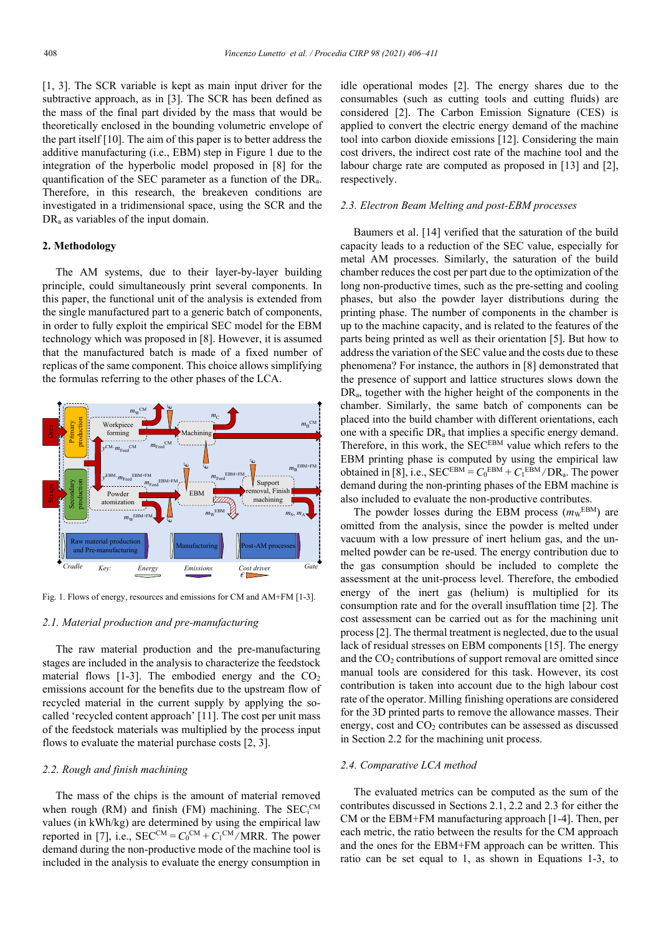[1, 3]. The SCR variable is kept as main input driver for the subtractive approach, as in [3]. The SCR has been defined as the mass of the final part divided by the mass that would be theoretically enclosed in the bounding volumetric envelope of the part itself [10]. The aim of this paper is to better address the additive manufacturing (i.e., EBM) step in Figure 1 due to the integration of the hyperbolic model proposed in [8] for the quantification of the SEC parameter as a function of the DRa. Therefore, in this research, the breakeven conditions are investigated in a tridimensional space, using the SCR and the DR<sub>a</sub> as variables of the input domain.

#### **2. Methodology**

The AM systems, due to their layer-by-layer building principle, could simultaneously print several components. In this paper, the functional unit of the analysis is extended from the single manufactured part to a generic batch of components, in order to fully exploit the empirical SEC model for the EBM technology which was proposed in [8]. However, it is assumed that the manufactured batch is made of a fixed number of replicas of the same component. This choice allows simplifying the formulas referring to the other phases of the LCA.



Fig. 1. Flows of energy, resources and emissions for CM and AM+FM [1-3].

#### *2.1. Material production and pre-manufacturing*

The raw material production and the pre-manufacturing stages are included in the analysis to characterize the feedstock material flows  $[1-3]$ . The embodied energy and the  $CO<sub>2</sub>$ emissions account for the benefits due to the upstream flow of recycled material in the current supply by applying the socalled 'recycled content approach' [11]. The cost per unit mass of the feedstock materials was multiplied by the process input flows to evaluate the material purchase costs [2, 3].

## *2.2. Rough and finish machining*

The mass of the chips is the amount of material removed when rough (RM) and finish (FM) machining. The  $SEC_i^{CM}$ values (in kWh/kg) are determined by using the empirical law reported in [7], i.e.,  $SEC^{CM} = C_0^{CM} + C_1^{CM} / MRR$ . The power demand during the non-productive mode of the machine tool is included in the analysis to evaluate the energy consumption in

idle operational modes [2]. The energy shares due to the consumables (such as cutting tools and cutting fluids) are considered [2]. The Carbon Emission Signature (CES) is applied to convert the electric energy demand of the machine tool into carbon dioxide emissions [12]. Considering the main cost drivers, the indirect cost rate of the machine tool and the labour charge rate are computed as proposed in [13] and [2], respectively.

## *2.3. Electron Beam Melting and post-EBM processes*

Baumers et al. [14] verified that the saturation of the build capacity leads to a reduction of the SEC value, especially for metal AM processes. Similarly, the saturation of the build chamber reduces the cost per part due to the optimization of the long non-productive times, such as the pre-setting and cooling phases, but also the powder layer distributions during the printing phase. The number of components in the chamber is up to the machine capacity, and is related to the features of the parts being printed as well as their orientation [5]. But how to address the variation of the SEC value and the costs due to these phenomena? For instance, the authors in [8] demonstrated that the presence of support and lattice structures slows down the DRa, together with the higher height of the components in the chamber. Similarly, the same batch of components can be placed into the build chamber with different orientations, each one with a specific DRa that implies a specific energy demand. Therefore, in this work, the SEC<sup>EBM</sup> value which refers to the EBM printing phase is computed by using the empirical law obtained in [8], i.e.,  $SEC^{EBM} = C_0^{EBM} + C_1^{EBM} / DR_a$ . The power demand during the non-printing phases of the EBM machine is also included to evaluate the non-productive contributes.

The powder losses during the EBM process  $(m_{\text{W}}^{\text{EBM}})$  are omitted from the analysis, since the powder is melted under vacuum with a low pressure of inert helium gas, and the unmelted powder can be re-used. The energy contribution due to the gas consumption should be included to complete the assessment at the unit-process level. Therefore, the embodied energy of the inert gas (helium) is multiplied for its consumption rate and for the overall insufflation time [2]. The cost assessment can be carried out as for the machining unit process [2]. The thermal treatment is neglected, due to the usual lack of residual stresses on EBM components [15]. The energy and the  $CO<sub>2</sub>$  contributions of support removal are omitted since manual tools are considered for this task. However, its cost contribution is taken into account due to the high labour cost rate of the operator. Milling finishing operations are considered for the 3D printed parts to remove the allowance masses. Their energy, cost and  $CO<sub>2</sub>$  contributes can be assessed as discussed in Section 2.2 for the machining unit process.

#### *2.4. Comparative LCA method*

The evaluated metrics can be computed as the sum of the contributes discussed in Sections 2.1, 2.2 and 2.3 for either the CM or the EBM+FM manufacturing approach [1-4]. Then, per each metric, the ratio between the results for the CM approach and the ones for the EBM+FM approach can be written. This ratio can be set equal to 1, as shown in Equations 1-3, to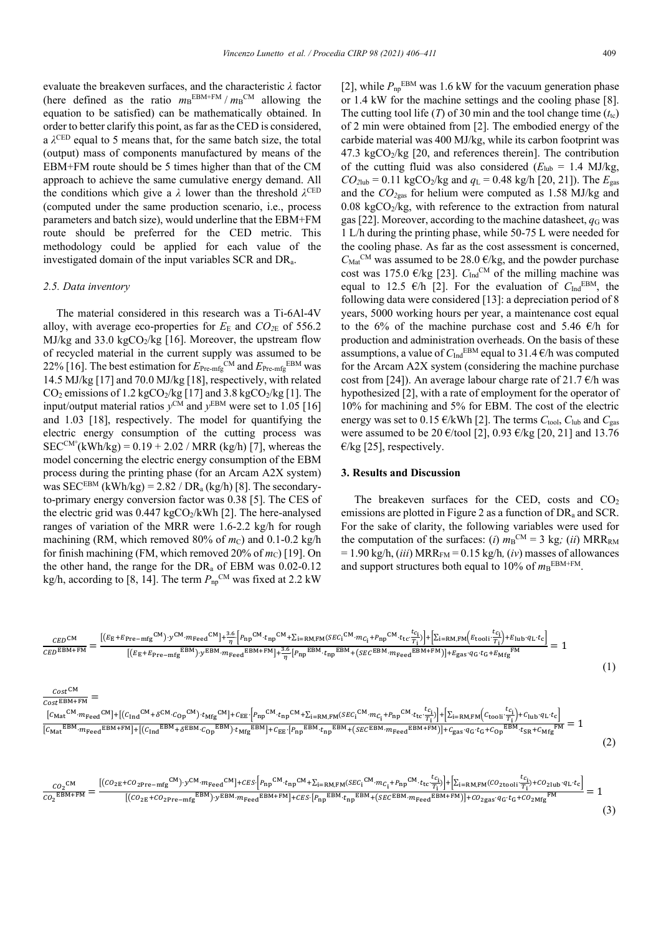evaluate the breakeven surfaces, and the characteristic *λ* factor (here defined as the ratio  $m_B^{EBM+FM} / m_B^{CM}$  allowing the equation to be satisfied) can be mathematically obtained. In order to better clarify this point, as far as the CED is considered, a *λ*CED equal to 5 means that, for the same batch size, the total (output) mass of components manufactured by means of the EBM+FM route should be 5 times higher than that of the CM approach to achieve the same cumulative energy demand. All the conditions which give a  $\lambda$  lower than the threshold  $\lambda^{\text{CED}}$ (computed under the same production scenario, i.e., process parameters and batch size), would underline that the EBM+FM route should be preferred for the CED metric. This methodology could be applied for each value of the investigated domain of the input variables SCR and DRa.

## *2.5. Data inventory*

 $Cost^{\text{CM}}$  $\frac{cos\epsilon}{cos\epsilon_{\text{EBM+FM}}}$  =

The material considered in this research was a Ti-6Al-4V alloy, with average eco-properties for  $E_{\rm E}$  and  $CO_{\rm 2E}$  of 556.2 MJ/kg and 33.0 kgCO<sub>2</sub>/kg [16]. Moreover, the upstream flow of recycled material in the current supply was assumed to be 22% [16]. The best estimation for  $E_{Pre-mfg}^{\text{CM}}$  and  $E_{Pre-mfg}^{\text{EBM}}$  was 14.5 MJ/kg [17] and 70.0 MJ/kg [18], respectively, with related  $CO<sub>2</sub>$  emissions of 1.2 kgCO<sub>2</sub>/kg [17] and 3.8 kgCO<sub>2</sub>/kg [1]. The input/output material ratios  $y^{\text{CM}}$  and  $y^{\text{EBM}}$  were set to 1.05 [16] and 1.03 [18], respectively. The model for quantifying the electric energy consumption of the cutting process was  $SEC^{CM^{\circ}}(kWh/kg) = 0.19 + 2.02 / MRR (kg/h) [7]$ , whereas the model concerning the electric energy consumption of the EBM process during the printing phase (for an Arcam A2X system) was SEC<sup>EBM</sup> (kWh/kg) =  $2.82 / DR<sub>a</sub>$  (kg/h) [8]. The secondaryto-primary energy conversion factor was 0.38 [5]. The CES of the electric grid was  $0.447 \text{ kgCO}_2/\text{kWh}$  [2]. The here-analysed ranges of variation of the MRR were 1.6-2.2 kg/h for rough machining (RM, which removed 80% of  $m<sub>C</sub>$ ) and 0.1-0.2 kg/h for finish machining (FM, which removed 20% of  $m<sub>C</sub>$ ) [19]. On the other hand, the range for the  $DR_a$  of EBM was 0.02-0.12 kg/h, according to [8, 14]. The term  $P_{np}^{\text{CM}}$  was fixed at 2.2 kW

[2], while  $P_{\text{np}}^{\text{EBM}}$  was 1.6 kW for the vacuum generation phase or 1.4 kW for the machine settings and the cooling phase [8]. The cutting tool life  $(T)$  of 30 min and the tool change time  $(t_{tc})$ of 2 min were obtained from [2]. The embodied energy of the carbide material was 400 MJ/kg, while its carbon footprint was  $47.3 \text{ kgCO}$ <sub>2</sub>/kg [20, and references therein]. The contribution of the cutting fluid was also considered  $(E_{\text{lub}} = 1.4 \text{ MJ/kg}$ ,  $CO_{2}$ lub = 0.11 kgCO<sub>2</sub>/kg and  $q_L$  = 0.48 kg/h [20, 21]). The  $E_{gas}$ and the *CO2*gas for helium were computed as 1.58 MJ/kg and  $0.08 \text{ kgCO}_2/\text{kg}$ , with reference to the extraction from natural gas [22]. Moreover, according to the machine datasheet,  $q<sub>G</sub>$  was 1 L/h during the printing phase, while 50-75 L were needed for the cooling phase. As far as the cost assessment is concerned,  $C_{\text{Mat}}^{\text{CM}}$  was assumed to be 28.0  $\epsilon$ /kg, and the powder purchase cost was 175.0  $\epsilon$ /kg [23].  $C_{\text{Ind}}^{\text{CM}}$  of the milling machine was equal to 12.5  $\epsilon$ /h [2]. For the evaluation of  $C_{\text{Ind}}^{\text{EBM}}$ , the following data were considered [13]: a depreciation period of 8 years, 5000 working hours per year, a maintenance cost equal to the 6% of the machine purchase cost and 5.46  $\epsilon$ /h for production and administration overheads. On the basis of these assumptions, a value of  $C_{\text{Ind}}^{\text{EBM}}$  equal to 31.4  $\epsilon$ /h was computed for the Arcam A2X system (considering the machine purchase cost from [24]). An average labour charge rate of 21.7  $\epsilon$ /h was hypothesized [2], with a rate of employment for the operator of 10% for machining and 5% for EBM. The cost of the electric energy was set to 0.15  $\epsilon$ /kWh [2]. The terms  $C_{\text{tool}}$ ,  $C_{\text{lub}}$  and  $C_{\text{gas}}$ were assumed to be 20  $\epsilon$ /tool [2], 0.93  $\epsilon$ /kg [20, 21] and 13.76  $\epsilon$ /kg [25], respectively.

## **3. Results and Discussion**

The breakeven surfaces for the CED, costs and  $CO<sub>2</sub>$ emissions are plotted in Figure 2 as a function of  $DR_a$  and  $SCR$ . For the sake of clarity, the following variables were used for the computation of the surfaces: (*i*)  $m_B^{\text{CM}} = 3$  kg; (*ii*) MRR<sub>RM</sub>  $= 1.90 \text{ kg/h},$  *(iii)* MRR<sub>FM</sub>  $= 0.15 \text{ kg/h},$  *(iv)* masses of allowances and support structures both equal to  $10\%$  of  $m_B^{EBM+FM}$ .

$$
\frac{CED^{CM}}{CED^{EBM+FM}} = \frac{[(E_E + E_{Pre-mfg}^{CM}) \cdot y^{CM} \cdot m_{\text{Head}}^{CM}] + \frac{3.6}{\eta} [P_{np}^{CM} \cdot t_{np}^{CM} + \Sigma_{i=RM,\text{FM}}(SEC_i^{CM} \cdot m_{C_i} + P_{np}^{CM} \cdot t_{tc} \frac{t_{c_i}}{\tau_i})] + [\Sigma_{i=RM,\text{FM}}(E_{\text{tooli}} \frac{t_{c_i}}{\tau_i}) + E_{\text{lub}} \cdot q_L \cdot t_c]}{[(E_E + E_{\text{Pre-mfg}}^{EBM}) \cdot y^{EBM} \cdot m_{\text{Head}}^{EBM+FM}] + \frac{3.6}{\eta} [P_{np}^{EBM} \cdot t_{np}^{EBM} + (SEC_{\text{EBM}} \cdot m_{\text{feed}}^{EBM+FM})] + E_{\text{gas}} \cdot q_G \cdot t_G + E_{\text{Mfg}}^{FM}}]} = 1
$$
\n(1)

$$
\frac{[C_{Mat}^{CM} \cdot m_{\text{Head}}^{CM}] + [(C_{Ind}^{CM} + \delta^{CM} \cdot C_{Op}^{CM}) \cdot t_{Mfg}^{CM}] + C_{EE} \cdot [P_{np}^{CM} \cdot t_{np}^{CM} + \Sigma_{i=RM,FM}(SEC_{i}^{CM} \cdot m_{C_{i}} + P_{np}^{CM} \cdot t_{tc} \cdot \frac{t_{C_{i}}}{T_{i}})] + [\Sigma_{i=RM,FM}(C_{\text{tool}} \cdot \frac{t_{C_{i}}}{T_{i}}) + C_{\text{Iub}} q_{L} \cdot t_{c}]}{[C_{Mat}^{EBM} \cdot m_{\text{Head}}^{EBM} + F_{i}^{M}] + [(C_{Ind}^{EBM} + \delta^{EBM} \cdot C_{Op}^{EBM}) \cdot t_{Mfg}^{EBM}] + C_{EE} \cdot [P_{np}^{EBM} \cdot t_{np}^{EBM} + (SEC_{EBM} \cdot m_{\text{Head}}^{EBM} + F_{i}^{M})] + C_{gas} \cdot q_{G} \cdot t_{G} + C_{Op}^{EBM} \cdot t_{SR} + C_{Mfg}^{EM}]} = 1
$$
\n(2)

$$
\frac{co_{2}^{CM}}{co_{2}^{EBM+FM}} = \frac{[(co_{2E}+co_{2Pre-mfg}^{CM}) \cdot y^{CM} \cdot m_{Feed}^{CM}] + cEs \cdot [P_{np}^{CM} \cdot t_{np}^{CM} + \sum_{i=RM,FM}(SEC_{i}^{CM} \cdot m_{C_{i}} + P_{np}^{CM} \cdot t_{tc} \cdot \frac{t_{C_{i}}}{T_{i}})] + [\sum_{i=RM,FM}(Co_{2\text{tool}} \cdot \frac{t_{C_{i}}}{T_{i}}) + co_{2\text{lub}} \cdot q_{L} \cdot t_{c}]}{[(co_{2E}+co_{2Pre-mfg}^{EBM}) \cdot y^{EBM} \cdot m_{Feed}^{EBM+FM}] + cEs \cdot [P_{np}^{EBM} \cdot t_{np}^{EBM} + (SEC_{BBM} \cdot m_{Feed}^{EBM+FM})] + co_{2gas} \cdot q_{G} \cdot t_{G} + co_{2Mfg}^{FM}}]} = 1
$$
\n(3)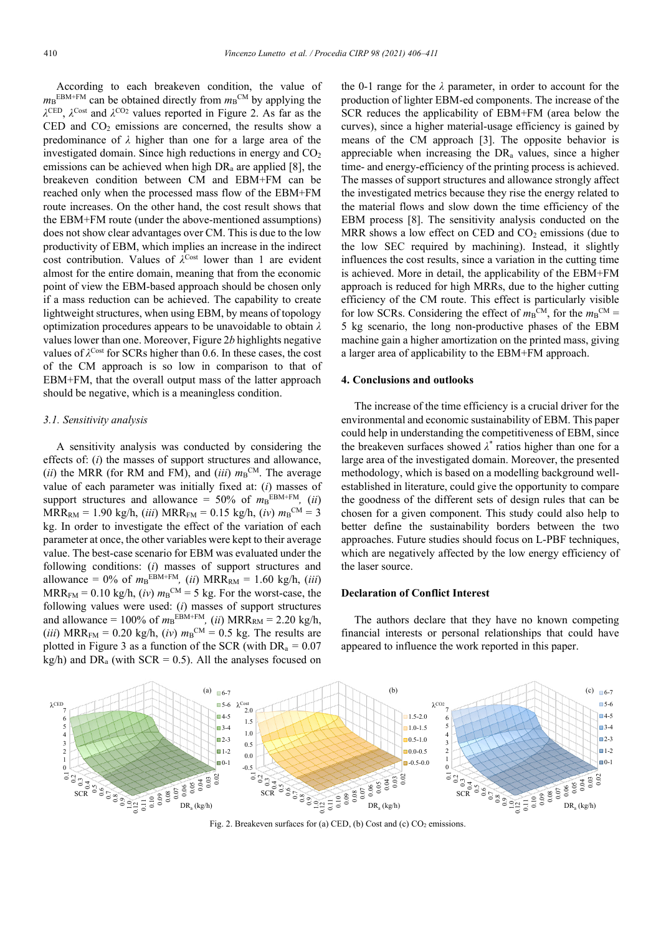According to each breakeven condition, the value of  $m_B^{EBM+FM}$  can be obtained directly from  $m_B^{CM}$  by applying the *λ*CED, *λ*Cost and *λ*CO2 values reported in Figure 2. As far as the CED and  $CO<sub>2</sub>$  emissions are concerned, the results show a predominance of *λ* higher than one for a large area of the investigated domain. Since high reductions in energy and  $CO<sub>2</sub>$ emissions can be achieved when high  $DR<sub>a</sub>$  are applied [8], the breakeven condition between CM and EBM+FM can be reached only when the processed mass flow of the EBM+FM route increases. On the other hand, the cost result shows that the EBM+FM route (under the above-mentioned assumptions) does not show clear advantages over CM. This is due to the low productivity of EBM, which implies an increase in the indirect cost contribution. Values of  $\lambda^{\text{Cost}}$  lower than 1 are evident almost for the entire domain, meaning that from the economic point of view the EBM-based approach should be chosen only if a mass reduction can be achieved. The capability to create lightweight structures, when using EBM, by means of topology optimization procedures appears to be unavoidable to obtain *λ* values lower than one. Moreover, Figure 2*b* highlights negative values of *λ*Cost for SCRs higher than 0.6. In these cases, the cost of the CM approach is so low in comparison to that of EBM+FM, that the overall output mass of the latter approach should be negative, which is a meaningless condition.

## *3.1. Sensitivity analysis*

A sensitivity analysis was conducted by considering the effects of: (*i*) the masses of support structures and allowance, (*ii*) the MRR (for RM and FM), and (*iii*)  $m_B$ <sup>CM</sup>. The average value of each parameter was initially fixed at: (*i*) masses of support structures and allowance =  $50\%$  of  $m_B^{EBM+FM}$ , *(ii)*  $MRR_{RM} = 1.90 \text{ kg/h}, (iii) MRR_{FM} = 0.15 \text{ kg/h}, (iv) m_{B}^{CM} = 3$ kg. In order to investigate the effect of the variation of each parameter at once, the other variables were kept to their average value. The best-case scenario for EBM was evaluated under the following conditions: (*i*) masses of support structures and allowance =  $0\%$  of  $m_B^{EBM+FM}$ , *(ii)* MRR<sub>RM</sub> = 1.60 kg/h, *(iii)*  $MRR_{FM} = 0.10 \text{ kg/h}, (iv) \text{ m}_B^{\text{CM}} = 5 \text{ kg}$ . For the worst-case, the following values were used: (*i*) masses of support structures and allowance =  $100\%$  of  $m_B^{EBM+FM}$ , *(ii)* MRR<sub>RM</sub> = 2.20 kg/h, (*iii*) MRR<sub>FM</sub> = 0.20 kg/h, (*iv*)  $m_B^{\text{CM}} = 0.5$  kg. The results are plotted in Figure 3 as a function of the SCR (with DRa *=* 0.07 kg/h) and  $DR_a$  (with  $SCR = 0.5$ ). All the analyses focused on

the 0-1 range for the *λ* parameter, in order to account for the production of lighter EBM-ed components. The increase of the SCR reduces the applicability of EBM+FM (area below the curves), since a higher material-usage efficiency is gained by means of the CM approach [3]. The opposite behavior is appreciable when increasing the DR<sub>a</sub> values, since a higher time- and energy-efficiency of the printing process is achieved. The masses of support structures and allowance strongly affect the investigated metrics because they rise the energy related to the material flows and slow down the time efficiency of the EBM process [8]. The sensitivity analysis conducted on the MRR shows a low effect on CED and  $CO<sub>2</sub>$  emissions (due to the low SEC required by machining). Instead, it slightly influences the cost results, since a variation in the cutting time is achieved. More in detail, the applicability of the EBM+FM approach is reduced for high MRRs, due to the higher cutting efficiency of the CM route. This effect is particularly visible for low SCRs. Considering the effect of  $m_B^{\text{CM}}$ , for the  $m_B^{\text{CM}} =$ 5 kg scenario, the long non-productive phases of the EBM machine gain a higher amortization on the printed mass, giving a larger area of applicability to the EBM+FM approach.

#### **4. Conclusions and outlooks**

The increase of the time efficiency is a crucial driver for the environmental and economic sustainability of EBM. This paper could help in understanding the competitiveness of EBM, since the breakeven surfaces showed *λ*\* ratios higher than one for a large area of the investigated domain. Moreover, the presented methodology, which is based on a modelling background wellestablished in literature, could give the opportunity to compare the goodness of the different sets of design rules that can be chosen for a given component. This study could also help to better define the sustainability borders between the two approaches. Future studies should focus on L-PBF techniques, which are negatively affected by the low energy efficiency of the laser source.

## **Declaration of Conflict Interest**

The authors declare that they have no known competing financial interests or personal relationships that could have appeared to influence the work reported in this paper.



Fig. 2. Breakeven surfaces for (a) CED, (b) Cost and (c)  $CO<sub>2</sub>$  emissions.